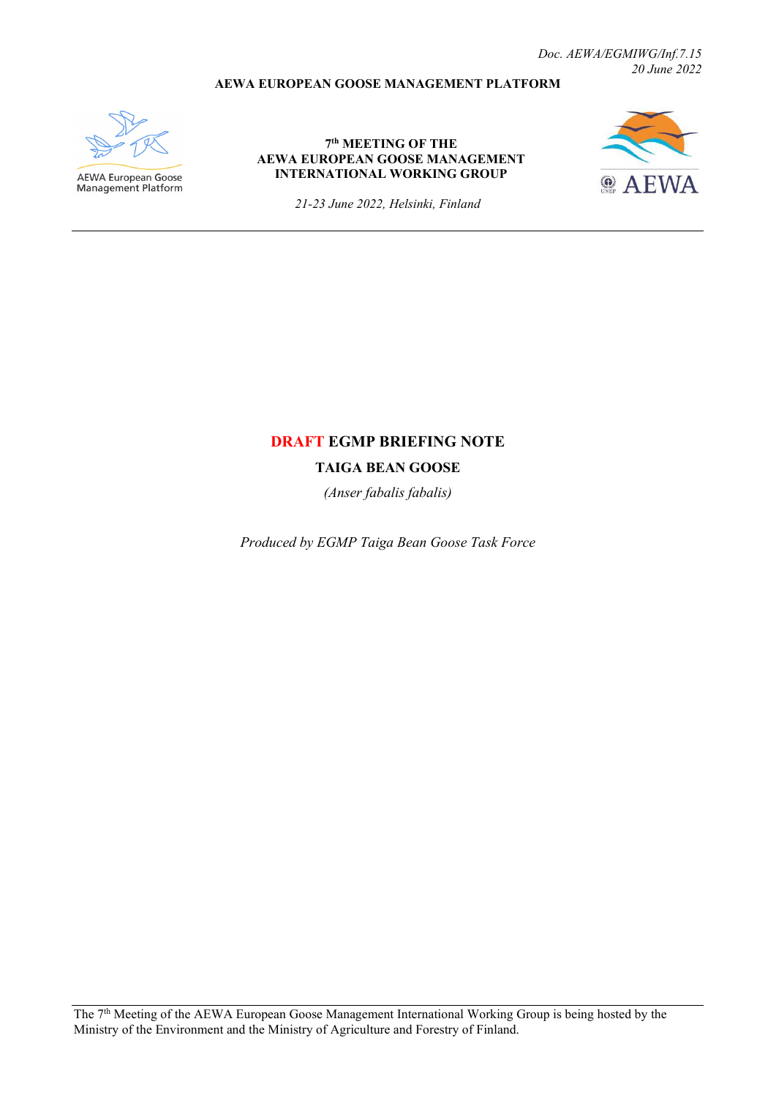*Doc. AEWA/EGMIWG/Inf.7.15 20 June 2022*

### **AEWA EUROPEAN GOOSE MANAGEMENT PLATFORM**



**AEWA European Goose**<br>Management Platform

#### **7th MEETING OF THE AEWA EUROPEAN GOOSE MANAGEMENT INTERNATIONAL WORKING GROUP**



*21-23 June 2022, Helsinki, Finland*

## **DRAFT EGMP BRIEFING NOTE**

**TAIGA BEAN GOOSE**

*(Anser fabalis fabalis)*

*Produced by EGMP Taiga Bean Goose Task Force*

The 7th Meeting of the AEWA European Goose Management International Working Group is being hosted by the Ministry of the Environment and the Ministry of Agriculture and Forestry of Finland.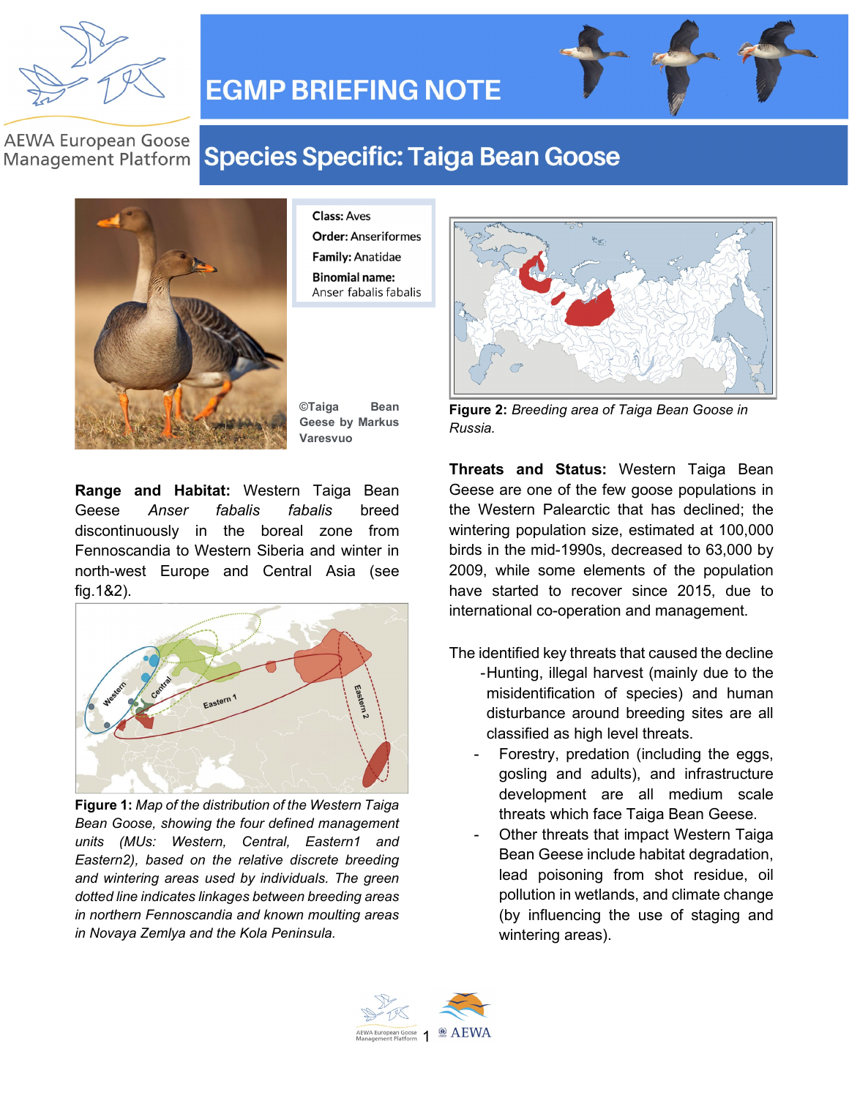

# **EGMP BRIEFING NOTE**

### **AEWA European Goose Management Platform**

# **Species Specific: Taiga Bean Goose**



**Class: Aves Order: Anseriformes Family: Anatidae Binomial name:** Anser fabalis fabalis

**©Taiga Bean Geese by Markus Varesvuo**

**Range and Habitat:** Western Taiga Bean Geese *Anser fabalis fabalis* breed discontinuously in the boreal zone from Fennoscandia to Western Siberia and winter in north-west Europe and Central Asia (see fig.1&2).



**Figure 1:** *Map of the distribution of the Western Taiga Bean Goose, showing the four defined management units (MUs: Western, Central, Eastern1 and Eastern2), based on the relative discrete breeding and wintering areas used by individuals. The green dotted line indicates linkages between breeding areas in northern Fennoscandia and known moulting areas in Novaya Zemlya and the Kola Peninsula.*



**Figure 2:** *Breeding area of Taiga Bean Goose in Russia.*

**Threats and Status:** Western Taiga Bean Geese are one of the few goose populations in the Western Palearctic that has declined; the wintering population size, estimated at 100,000 birds in the mid-1990s, decreased to 63,000 by 2009, while some elements of the population have started to recover since 2015, due to international co-operation and management.

- The identified key threats that caused the decline - Hunting, illegal harvest (mainly due to the misidentification of species) and human disturbance around breeding sites are all classified as high level threats.
	- Forestry, predation (including the eggs, gosling and adults), and infrastructure development are all medium scale threats which face Taiga Bean Geese.
	- Other threats that impact Western Taiga Bean Geese include habitat degradation, lead poisoning from shot residue, oil pollution in wetlands, and climate change (by influencing the use of staging and wintering areas).